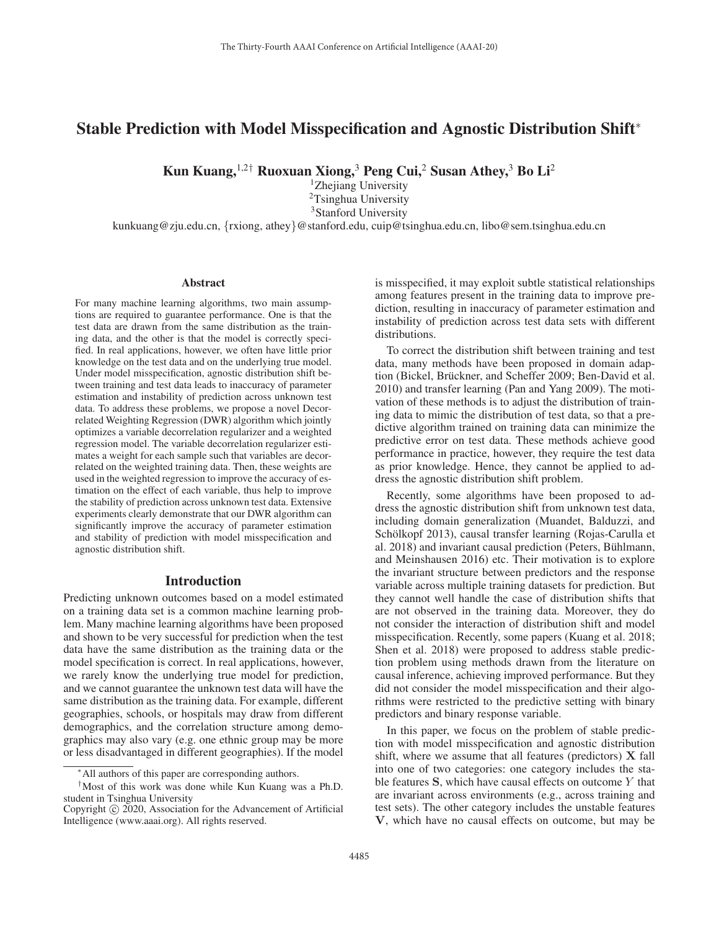# Stable Prediction with Model Misspecification and Agnostic Distribution Shift<sup>∗</sup>

Kun Kuang,  $1.2^{\dagger}$  Ruoxuan Xiong,  $3$  Peng Cui,  $2$  Susan Athey,  $3$  Bo Li<sup>2</sup>

<sup>1</sup>Zhejiang University <sup>2</sup>Tsinghua University <sup>3</sup>Stanford University kunkuang@zju.edu.cn, {rxiong, athey}@stanford.edu, cuip@tsinghua.edu.cn, libo@sem.tsinghua.edu.cn

#### Abstract

For many machine learning algorithms, two main assumptions are required to guarantee performance. One is that the test data are drawn from the same distribution as the training data, and the other is that the model is correctly specified. In real applications, however, we often have little prior knowledge on the test data and on the underlying true model. Under model misspecification, agnostic distribution shift between training and test data leads to inaccuracy of parameter estimation and instability of prediction across unknown test data. To address these problems, we propose a novel Decorrelated Weighting Regression (DWR) algorithm which jointly optimizes a variable decorrelation regularizer and a weighted regression model. The variable decorrelation regularizer estimates a weight for each sample such that variables are decorrelated on the weighted training data. Then, these weights are used in the weighted regression to improve the accuracy of estimation on the effect of each variable, thus help to improve the stability of prediction across unknown test data. Extensive experiments clearly demonstrate that our DWR algorithm can significantly improve the accuracy of parameter estimation and stability of prediction with model misspecification and agnostic distribution shift.

## Introduction

Predicting unknown outcomes based on a model estimated on a training data set is a common machine learning problem. Many machine learning algorithms have been proposed and shown to be very successful for prediction when the test data have the same distribution as the training data or the model specification is correct. In real applications, however, we rarely know the underlying true model for prediction, and we cannot guarantee the unknown test data will have the same distribution as the training data. For example, different geographies, schools, or hospitals may draw from different demographics, and the correlation structure among demographics may also vary (e.g. one ethnic group may be more or less disadvantaged in different geographies). If the model

is misspecified, it may exploit subtle statistical relationships among features present in the training data to improve prediction, resulting in inaccuracy of parameter estimation and instability of prediction across test data sets with different distributions.

To correct the distribution shift between training and test data, many methods have been proposed in domain adaption (Bickel, Brückner, and Scheffer 2009; Ben-David et al. 2010) and transfer learning (Pan and Yang 2009). The motivation of these methods is to adjust the distribution of training data to mimic the distribution of test data, so that a predictive algorithm trained on training data can minimize the predictive error on test data. These methods achieve good performance in practice, however, they require the test data as prior knowledge. Hence, they cannot be applied to address the agnostic distribution shift problem.

Recently, some algorithms have been proposed to address the agnostic distribution shift from unknown test data, including domain generalization (Muandet, Balduzzi, and Schölkopf 2013), causal transfer learning (Rojas-Carulla et al. 2018) and invariant causal prediction (Peters, Bühlmann, and Meinshausen 2016) etc. Their motivation is to explore the invariant structure between predictors and the response variable across multiple training datasets for prediction. But they cannot well handle the case of distribution shifts that are not observed in the training data. Moreover, they do not consider the interaction of distribution shift and model misspecification. Recently, some papers (Kuang et al. 2018; Shen et al. 2018) were proposed to address stable prediction problem using methods drawn from the literature on causal inference, achieving improved performance. But they did not consider the model misspecification and their algorithms were restricted to the predictive setting with binary predictors and binary response variable.

In this paper, we focus on the problem of stable prediction with model misspecification and agnostic distribution shift, where we assume that all features (predictors) **X** fall into one of two categories: one category includes the stable features **S**, which have causal effects on outcome Y that are invariant across environments (e.g., across training and test sets). The other category includes the unstable features **V**, which have no causal effects on outcome, but may be

<sup>∗</sup>All authors of this paper are corresponding authors.

<sup>†</sup>Most of this work was done while Kun Kuang was a Ph.D. student in Tsinghua University

Copyright  $\odot$  2020, Association for the Advancement of Artificial Intelligence (www.aaai.org). All rights reserved.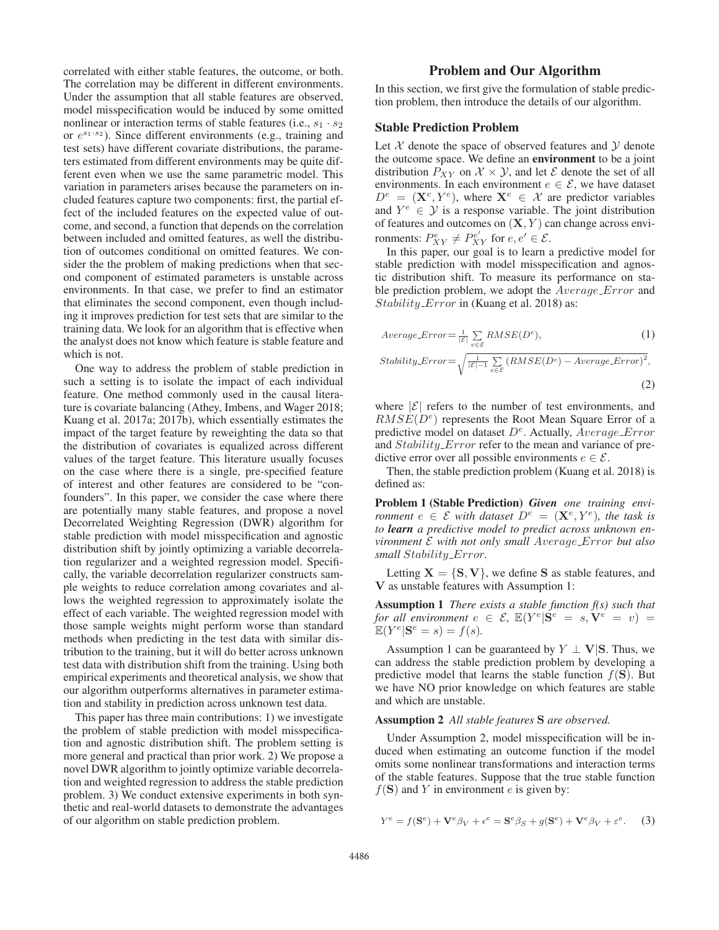correlated with either stable features, the outcome, or both. The correlation may be different in different environments. Under the assumption that all stable features are observed, model misspecification would be induced by some omitted nonlinear or interaction terms of stable features (i.e.,  $s_1 \cdot s_2$ ) or  $e^{s_1 \cdot s_2}$ ). Since different environments (e.g., training and test sets) have different covariate distributions, the parameters estimated from different environments may be quite different even when we use the same parametric model. This variation in parameters arises because the parameters on included features capture two components: first, the partial effect of the included features on the expected value of outcome, and second, a function that depends on the correlation between included and omitted features, as well the distribution of outcomes conditional on omitted features. We consider the the problem of making predictions when that second component of estimated parameters is unstable across environments. In that case, we prefer to find an estimator that eliminates the second component, even though including it improves prediction for test sets that are similar to the training data. We look for an algorithm that is effective when the analyst does not know which feature is stable feature and which is not.

One way to address the problem of stable prediction in such a setting is to isolate the impact of each individual feature. One method commonly used in the causal literature is covariate balancing (Athey, Imbens, and Wager 2018; Kuang et al. 2017a; 2017b), which essentially estimates the impact of the target feature by reweighting the data so that the distribution of covariates is equalized across different values of the target feature. This literature usually focuses on the case where there is a single, pre-specified feature of interest and other features are considered to be "confounders". In this paper, we consider the case where there are potentially many stable features, and propose a novel Decorrelated Weighting Regression (DWR) algorithm for stable prediction with model misspecification and agnostic distribution shift by jointly optimizing a variable decorrelation regularizer and a weighted regression model. Specifically, the variable decorrelation regularizer constructs sample weights to reduce correlation among covariates and allows the weighted regression to approximately isolate the effect of each variable. The weighted regression model with those sample weights might perform worse than standard methods when predicting in the test data with similar distribution to the training, but it will do better across unknown test data with distribution shift from the training. Using both empirical experiments and theoretical analysis, we show that our algorithm outperforms alternatives in parameter estimation and stability in prediction across unknown test data.

This paper has three main contributions: 1) we investigate the problem of stable prediction with model misspecification and agnostic distribution shift. The problem setting is more general and practical than prior work. 2) We propose a novel DWR algorithm to jointly optimize variable decorrelation and weighted regression to address the stable prediction problem. 3) We conduct extensive experiments in both synthetic and real-world datasets to demonstrate the advantages of our algorithm on stable prediction problem.

## Problem and Our Algorithm

In this section, we first give the formulation of stable prediction problem, then introduce the details of our algorithm.

### Stable Prediction Problem

Let  $X$  denote the space of observed features and  $Y$  denote the outcome space. We define an environment to be a joint distribution  $P_{XY}$  on  $\mathcal{X} \times \mathcal{Y}$ , and let  $\mathcal{E}$  denote the set of all environments. In each environment  $e \in \mathcal{E}$ , we have dataset  $D^e = (\mathbf{X}^e, Y^e)$ , where  $\mathbf{X}^e \in \mathcal{X}$  are predictor variables and  $Y^e \in \mathcal{Y}$  is a response variable. The joint distribution of features and outcomes on (**X**, Y ) can change across environments:  $P_{XY}^e \neq P_{XY}^{e'}$  for  $e, e' \in \mathcal{E}$ .<br>In this paper, our goal is to learn a

In this paper, our goal is to learn a predictive model for stable prediction with model misspecification and agnostic distribution shift. To measure its performance on stable prediction problem, we adopt the *Average Error* and Stability\_Error in (Kuang et al. 2018) as:

$$
Average\_Error = \frac{1}{|\mathcal{E}|} \sum_{e \in \mathcal{E}} RMSE(D^e),
$$
\n
$$
Stability\_Error = \sqrt{\frac{1}{|\mathcal{E}| - 1} \sum_{e \in \mathcal{E}} (RMSE(D^e) - Average\_Error)^2},
$$
\n
$$
(2)
$$

where  $|\mathcal{E}|$  refers to the number of test environments, and  $RMSE(D<sup>e</sup>)$  represents the Root Mean Square Error of a predictive model on dataset  $D^e$ . Actually, *Average Error* and *Stability\_Error* refer to the mean and variance of predictive error over all possible environments  $e \in \mathcal{E}$ .

Then, the stable prediction problem (Kuang et al. 2018) is defined as:

Problem 1 (Stable Prediction) *Given one training environment*  $e \in \mathcal{E}$  *with dataset*  $D^e = (\mathbf{X}^e, Y^e)$ *, the task is to learn a predictive model to predict across unknown environment* E *with not only small* Average Error *but also small* Stability Error*.*

Letting  $X = \{S, V\}$ , we define S as stable features, and **V** as unstable features with Assumption 1:

Assumption 1 *There exists a stable function f(s) such that for all environment*  $e \in \mathcal{E}$ ,  $\mathbb{E}(Y^e | \mathbf{S}^e = s, \mathbf{V}^e = v)$  =  $\mathbb{E}(Y^e|\mathbf{S}^e=s)=f(s).$ 

Assumption 1 can be guaranteed by  $Y \perp \mathbf{V}|\mathbf{S}$ . Thus, we can address the stable prediction problem by developing a predictive model that learns the stable function  $f(\mathbf{S})$ . But we have NO prior knowledge on which features are stable and which are unstable.

#### Assumption 2 *All stable features* **S** *are observed.*

Under Assumption 2, model misspecification will be induced when estimating an outcome function if the model omits some nonlinear transformations and interaction terms of the stable features. Suppose that the true stable function  $f(S)$  and Y in environment e is given by:

$$
Y^{e} = f(\mathbf{S}^{e}) + \mathbf{V}^{e}\beta_{V} + \epsilon^{e} = \mathbf{S}^{e}\beta_{S} + g(\mathbf{S}^{e}) + \mathbf{V}^{e}\beta_{V} + \epsilon^{e}. \tag{3}
$$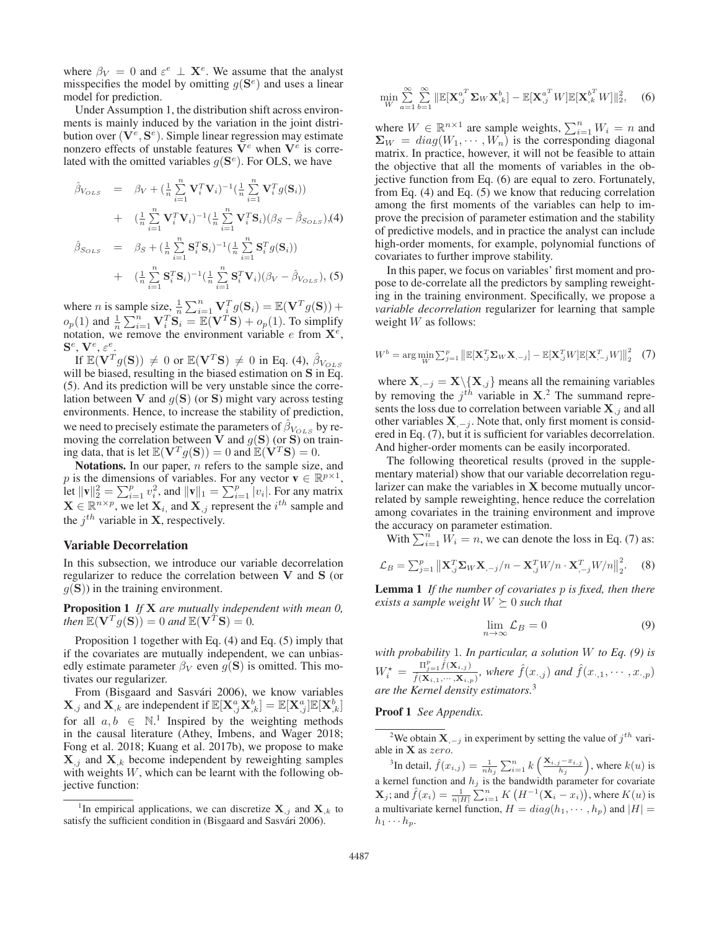where  $\beta_V = 0$  and  $\varepsilon^e \perp \mathbf{X}^e$ . We assume that the analyst misspecifies the model by omitting  $g(\mathbf{S}^e)$  and uses a linear model for prediction.

Under Assumption 1, the distribution shift across environments is mainly induced by the variation in the joint distribution over  $(\mathbf{V}^e, \mathbf{S}^e)$ . Simple linear regression may estimate nonzero effects of unstable features  $V^e$  when  $V^e$  is correlated with the omitted variables  $g(\mathbf{S}^e)$ . For OLS, we have

$$
\hat{\beta}_{V_{OLS}} = \beta_V + (\frac{1}{n} \sum_{i=1}^n \mathbf{V}_i^T \mathbf{V}_i)^{-1} (\frac{1}{n} \sum_{i=1}^n \mathbf{V}_i^T g(\mathbf{S}_i)) \n+ (\frac{1}{n} \sum_{i=1}^n \mathbf{V}_i^T \mathbf{V}_i)^{-1} (\frac{1}{n} \sum_{i=1}^n \mathbf{V}_i^T \mathbf{S}_i) (\beta_S - \hat{\beta}_{S_{OLS}}).
$$
\n(4)\n
$$
\hat{\beta}_{S_{OLS}} = \beta_S + (\frac{1}{n} \sum_{i=1}^n \mathbf{S}_i^T \mathbf{S}_i)^{-1} (\frac{1}{n} \sum_{i=1}^n \mathbf{S}_i^T g(\mathbf{S}_i)) \n+ (\frac{1}{n} \sum_{i=1}^n \mathbf{S}_i^T \mathbf{S}_i)^{-1} (\frac{1}{n} \sum_{i=1}^n \mathbf{S}_i^T \mathbf{V}_i) (\beta_V - \hat{\beta}_{V_{OLS}}),
$$
\n(5)

where *n* is sample size,  $\frac{1}{n} \sum_{i=1}^{n} \mathbf{V}_i^T g(\mathbf{S}_i) = \mathbb{E}(\mathbf{V}^T g(\mathbf{S})) +$ <br>e (1) and  $\frac{1}{n} \sum_{i=1}^{n} \mathbf{V}_i^T \mathbf{S} = \mathbb{E}(\mathbf{V}^T \mathbf{S}) + e$  (1) To simplify  $o_p(1)$  and  $\frac{1}{n} \sum_{i=1}^n \mathbf{V}_i^T \mathbf{S}_i = \mathbb{E}(\mathbf{V}^T \mathbf{S}) + o_p(1)$ . To simplify<br>notation we remove the environment variable e from  $\mathbf{X}^e$ notation, we remove the environment variable  $e$  from  $\mathbf{X}^e$ ,  $\mathbf{S}^e$ ,  $\mathbf{V}^e$ ,  $\varepsilon^e$ .

If  $\mathbb{E}(\mathbf{V}^T g(\mathbf{S})) \neq 0$  or  $\mathbb{E}(\mathbf{V}^T \mathbf{S}) \neq 0$  in Eq. (4),  $\beta_{V_{OLS}}$ will be biased, resulting in the biased estimation on **S** in Eq. (5). And its prediction will be very unstable since the correlation between **V** and  $q(S)$  (or **S**) might vary across testing environments. Hence, to increase the stability of prediction, we need to precisely estimate the parameters of  $\beta_{V_{OLS}}$  by removing the correlation between **V** and  $g(S)$  (or **S**) on training data, that is let  $\mathbb{E}(\mathbf{V}^T g(\mathbf{S})) = 0$  and  $\mathbb{E}(\mathbf{V}^T \mathbf{S}) = 0$ .

Notations. In our paper, *n* refers to the sample size, and p is the dimensions of variables. For any vector  $\mathbf{v} \in \mathbb{R}^{p \times 1}$ , Let  $\|\mathbf{v}\|_2^2 = \sum_{i=1}^p v_i^2$ , and  $\|\mathbf{v}\|_1 = \sum_{i=1}^p |v_i|$ . For any matrix  $\mathbf{X} \in \mathbb{R}^{n \times p}$  we let  $\mathbf{X}$ , and  $\mathbf{X}$ , represent the *i*<sup>th</sup> sample and  $\mathbf{X} \in \mathbb{R}^{n \times p}$ , we let  $\mathbf{X}_i$ , and  $\mathbf{X}_j$  represent the  $i^{th}$  sample and the  $i^{th}$  variable in **X**, respectively.

### Variable Decorrelation

In this subsection, we introduce our variable decorrelation regularizer to reduce the correlation between **V** and **S** (or  $q(S)$ ) in the training environment.

Proposition 1 *If* **X** *are mutually independent with mean 0,*  $then \mathbb{E}(\mathbf{V}^T g(\mathbf{S})) = 0$  *and*  $\mathbb{E}(\mathbf{V}^T \mathbf{S}) = 0$ *.* 

Proposition 1 together with Eq. (4) and Eq. (5) imply that if the covariates are mutually independent, we can unbiasedly estimate parameter  $\beta_V$  even  $q(S)$  is omitted. This motivates our regularizer.

From (Bisgaard and Sasvári 2006), we know variables  $\mathbf{X}_{,j}$  and  $\mathbf{X}_{,k}$  are independent if  $\mathbb{E}[\mathbf{X}_{,j}^{a}, \mathbf{X}_{,k}^{b}] = \mathbb{E}[\mathbf{X}_{,j}^{a}] \mathbb{E}[\mathbf{X}_{,k}^{b}]$ for all  $a, b \in \mathbb{N}$ .<sup>1</sup> Inspired by the weighting methods in the causal literature (Athey, Imbens, and Wager 2018; Fong et al. 2018; Kuang et al. 2017b), we propose to make  $\mathbf{X}_{i,j}$  and  $\mathbf{X}_{i,k}$  become independent by reweighting samples with weights  $W$ , which can be learnt with the following objective function:

$$
\min_{W} \sum_{a=1}^{\infty} \sum_{b=1}^{\infty} \|\mathbb{E}[\mathbf{X}_{,j}^{a^T} \mathbf{\Sigma}_W \mathbf{X}_{,k}^b] - \mathbb{E}[\mathbf{X}_{,j}^{a^T} W] \mathbb{E}[\mathbf{X}_{,k}^{b^T} W] \|_{2}^{2}, \quad (6)
$$

where  $W \in \mathbb{R}^{n \times 1}$  are sample weights,  $\sum_{i=1}^{n} W_i = n$  and  $\Sigma_{W_i} = \text{diag}(W_1 \cdots W_n)$  is the corresponding diagonal  $\Sigma_W = diag(W_1, \cdots, W_n)$  is the corresponding diagonal matrix. In practice, however, it will not be feasible to attain the objective that all the moments of variables in the objective function from Eq. (6) are equal to zero. Fortunately, from Eq. (4) and Eq. (5) we know that reducing correlation among the first moments of the variables can help to improve the precision of parameter estimation and the stability of predictive models, and in practice the analyst can include high-order moments, for example, polynomial functions of covariates to further improve stability.

In this paper, we focus on variables' first moment and propose to de-correlate all the predictors by sampling reweighting in the training environment. Specifically, we propose a *variable decorrelation* regularizer for learning that sample weight  $W$  as follows:

$$
W^{b} = \arg\min_{W} \sum_{j=1}^{p} \left\| \mathbb{E}[\mathbf{X}_{,j}^{T} \mathbf{\Sigma}_{W} \mathbf{X}_{, -j}] - \mathbb{E}[\mathbf{X}_{,j}^{T} W] \mathbb{E}[\mathbf{X}_{, -j}^{T} W] \right\|_{2}^{2} \quad (7)
$$

where  $X_{, -j} = X \setminus \{X_{,j}\}\$  means all the remaining variables by removing the  $j^{th}$  variable in  $X$ .<sup>2</sup> The summand represents the loss due to correlation between variable  $X_{i,j}$  and all other variables  $X_{i-j}$ . Note that, only first moment is considered in Eq. (7), but it is sufficient for variables decorrelation. And higher-order moments can be easily incorporated.

The following theoretical results (proved in the supplementary material) show that our variable decorrelation regularizer can make the variables in **X** become mutually uncorrelated by sample reweighting, hence reduce the correlation among covariates in the training environment and improve the accuracy on parameter estimation.

With  $\sum_{i=1}^{n} W_i = n$ , we can denote the loss in Eq. (7) as:

$$
\mathcal{L}_B = \sum_{j=1}^p \left\| \mathbf{X}_{,j}^T \mathbf{\Sigma}_W \mathbf{X}_{,j} / n - \mathbf{X}_{,j}^T W / n \cdot \mathbf{X}_{,j}^T W / n \right\|_2^2.
$$
 (8)

Lemma 1 *If the number of covariates* p *is fixed, then there exists a sample weight*  $W \succeq 0$  *such that* 

$$
\lim_{n \to \infty} \mathcal{L}_B = 0 \tag{9}
$$

*with probability* 1*. In particular, a solution* <sup>W</sup> *to Eq. (9) is*  $W_i^*$  $\mathbf{y}_{i}^{\star} = \frac{\Pi_{j=1}^{p} \hat{f}(\mathbf{X}_{i,j})}{\hat{f}(\mathbf{X}_{i,1}, \cdots, \mathbf{X}_{i,j})}$  $\frac{H_{j=1}f(\mathbf{x}_{i,j})}{\hat{f}(\mathbf{x}_{i,1},\cdots,\mathbf{x}_{i,p})}$ , where  $f(x_{\cdot,j})$  and  $f(x_{\cdot,1},\cdots,x_{\cdot,p})$ *are the Kernel density estimators.*<sup>3</sup>

Proof 1 *See Appendix.*

<sup>2</sup>We obtain **X**, $-*j*$  in experiment by setting the value of  $j<sup>th</sup>$  variable in **X** as zero.

<sup>3</sup>In detail,  $\hat{f}(x_{i,j}) = \frac{1}{nh_j} \sum_{i=1}^n k\left(\frac{\mathbf{x}_{i,j}-x_{i,j}}{h_j}\right)$ , where  $k(u)$  is a kernel function and  $h_j$  is the bandwidth parameter for covariate  $\mathbf{X}_j$ ; and  $\hat{f}(x_i) = \frac{1}{n|H|} \sum_{i=1}^n K(H^{-1}(\mathbf{X}_i - x_i)),$  where  $K(u)$  is a multivariate kernel function,  $H = diag(h_1, \dots, h_p)$  and  $|H| =$  $h_1 \cdots h_p$ .

<sup>&</sup>lt;sup>1</sup>In empirical applications, we can discretize  $X_{i,j}$  and  $X_{i,k}$  to satisfy the sufficient condition in (Bisgaard and Sasvári 2006).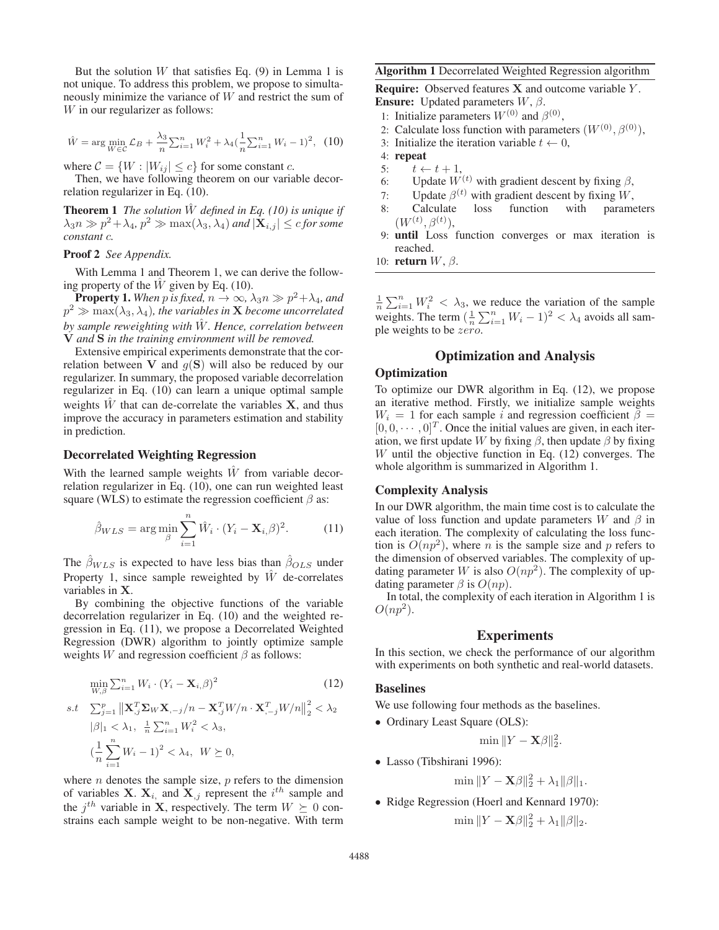But the solution  $W$  that satisfies Eq. (9) in Lemma 1 is not unique. To address this problem, we propose to simultaneously minimize the variance of W and restrict the sum of W in our regularizer as follows:

$$
\hat{W} = \arg\min_{W \in \mathcal{C}} \mathcal{L}_B + \frac{\lambda_3}{n} \sum_{i=1}^n W_i^2 + \lambda_4 \left(\frac{1}{n} \sum_{i=1}^n W_i - 1\right)^2, \tag{10}
$$

where  $C = \{W : |W_{ij}| \le c\}$  for some constant c.<br>Then we have following theorem on our varia

Then, we have following theorem on our variable decorrelation regularizer in Eq. (10).

Theorem 1 *The solution* <sup>W</sup><sup>ˆ</sup> *defined in Eq. (10) is unique if*  $\lambda_3 n \gg p^2 + \lambda_4$ ,  $p^2 \gg \max(\lambda_3, \lambda_4)$  and  $|\mathbf{X}_{i,j}| \leq c$  for some *constant* c*.*

Proof 2 *See Appendix.*

With Lemma 1 and Theorem 1, we can derive the following property of the  $\hat{W}$  given by Eq. (10).

**Property 1.** When p is fixed,  $n \to \infty$ ,  $\lambda_3 n \gg p^2 + \lambda_4$ , and  $p^2 \gg \max(\lambda_3, \lambda_4)$ , the variables in **X** become uncorrelated *by sample reweighting with* <sup>W</sup><sup>ˆ</sup> *. Hence, correlation between* **V** *and* **S** *in the training environment will be removed.*

Extensive empirical experiments demonstrate that the correlation between **V** and  $q(S)$  will also be reduced by our regularizer. In summary, the proposed variable decorrelation regularizer in Eq. (10) can learn a unique optimal sample weights  $\hat{W}$  that can de-correlate the variables **X**, and thus improve the accuracy in parameters estimation and stability in prediction.

### Decorrelated Weighting Regression

With the learned sample weights  $\hat{W}$  from variable decorrelation regularizer in Eq. (10), one can run weighted least square (WLS) to estimate the regression coefficient  $\beta$  as:

$$
\hat{\beta}_{WLS} = \arg\min_{\beta} \sum_{i=1}^{n} \hat{W}_i \cdot (Y_i - \mathbf{X}_{i,\beta})^2.
$$
 (11)

The  $\hat{\beta}_{WLS}$  is expected to have less bias than  $\hat{\beta}_{OLS}$  under Property 1, since sample reweighted by  $\hat{W}$  de-correlates variables in **X**.

By combining the objective functions of the variable decorrelation regularizer in Eq. (10) and the weighted regression in Eq. (11), we propose a Decorrelated Weighted Regression (DWR) algorithm to jointly optimize sample weights  $W$  and regression coefficient  $\beta$  as follows:

$$
\min_{W,\beta} \sum_{i=1}^{n} W_i \cdot (Y_i - \mathbf{X}_{i,\beta})^2
$$
\n
$$
s.t. \sum_{j=1}^{p} \left\| \mathbf{X}_{,j}^T \mathbf{\Sigma}_W \mathbf{X}_{,-j}/n - \mathbf{X}_{,j}^T W/n \cdot \mathbf{X}_{,-j}^T W/n \right\|_2^2 < \lambda_2
$$
\n
$$
|\beta|_1 < \lambda_1, \ \frac{1}{n} \sum_{i=1}^{n} W_i^2 < \lambda_3,
$$
\n
$$
\left(\frac{1}{n} \sum_{i=1}^{n} W_i - 1\right)^2 < \lambda_4, \ W \succeq 0,
$$
\n(12)

where  $n$  denotes the sample size,  $p$  refers to the dimension of variables **X**.  $X_i$  and  $X_j$  represent the  $i^{th}$  sample and the  $j^{th}$  variable in **X**, respectively. The term  $W \succeq 0$  constrains each sample weight to be non-negative. With term

#### Algorithm 1 Decorrelated Weighted Regression algorithm

Require: Observed features **X** and outcome variable Y . **Ensure:** Updated parameters  $W$ ,  $\beta$ .

- 1: Initialize parameters  $W^{(0)}$  and  $\beta^{(0)}$ ,
- 2: Calculate loss function with parameters  $(W^{(0)}, \beta^{(0)})$ ,
- 3: Initialize the iteration variable  $t \leftarrow 0$ ,
- 4: repeat
- 
- 5:  $t \leftarrow t + 1$ ,<br>6: Update  $W^{(t)}$  with gradient descent by fixing  $\beta$ ,
- 7: Update  $\beta^{(t)}$  with gradient descent by fixing W,
- 8: Calculate loss function with parameters  $(W^{(t)}, \beta^{(t)}),$ <br>until Loss
- 9: until Loss function converges or max iteration is reached.
- 10: **return**  $W$ ,  $β$ .

 $\frac{1}{n}\sum_{i=1}^{n}W_i^2 < \lambda_3$ , we reduce the variation of the sample weights. The term  $\left(\frac{1}{n}\sum_{i=1}^{n}W_i-1\right)^2 < \lambda_4$  avoids all sample weights to be zero ple weights to be zero.

## Optimization and Analysis

### **Optimization**

To optimize our DWR algorithm in Eq. (12), we propose an iterative method. Firstly, we initialize sample weights  $W_i = 1$  for each sample i and regression coefficient  $\beta =$  $[0, 0, \cdots, 0]^T$ . Once the initial values are given, in each iteration, we first update W by fixing  $\beta$ , then update  $\beta$  by fixing W until the objective function in Eq.  $(12)$  converges. The whole algorithm is summarized in Algorithm 1.

### Complexity Analysis

In our DWR algorithm, the main time cost is to calculate the value of loss function and update parameters W and  $\beta$  in each iteration. The complexity of calculating the loss function is  $O(np^2)$ , where *n* is the sample size and *p* refers to the dimension of observed variables. The complexity of updating parameter W is also  $O(np^2)$ . The complexity of updating parameter  $\beta$  is  $O(np)$ .

In total, the complexity of each iteration in Algorithm 1 is  $O(np^2)$ .

## Experiments

In this section, we check the performance of our algorithm with experiments on both synthetic and real-world datasets.

#### Baselines

We use following four methods as the baselines.

• Ordinary Least Square (OLS):

$$
\min \|Y - \mathbf{X}\boldsymbol{\beta}\|_2^2.
$$

• Lasso (Tibshirani 1996):

$$
\min \|Y - \mathbf{X}\beta\|_2^2 + \lambda_1 \|\beta\|_1.
$$

• Ridge Regression (Hoerl and Kennard 1970):

$$
\min \|Y - \mathbf{X}\beta\|_2^2 + \lambda_1 \|\beta\|_2.
$$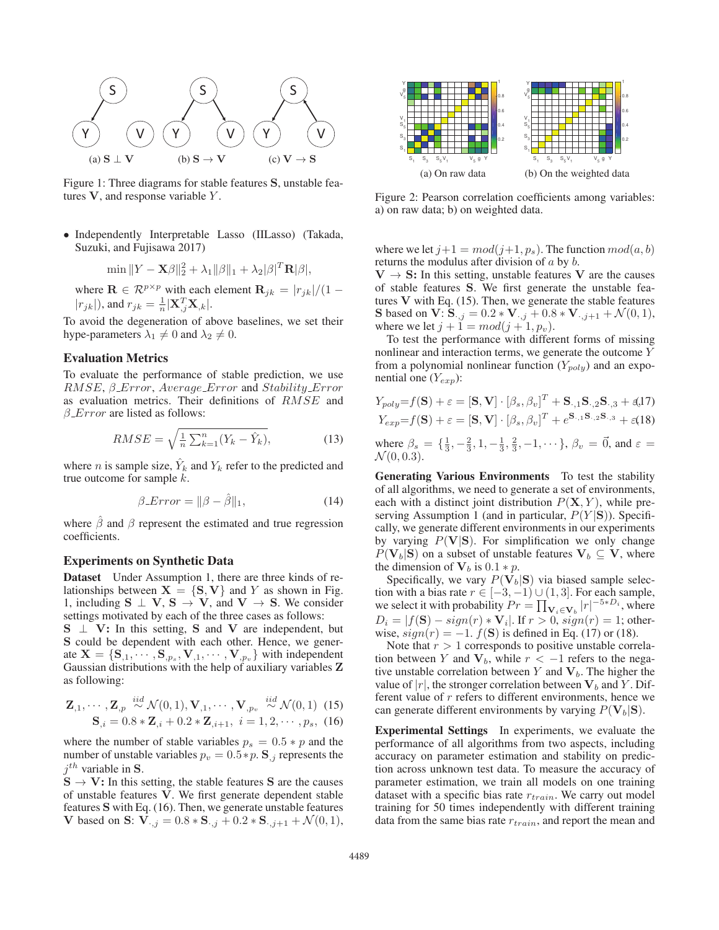

Figure 1: Three diagrams for stable features **S**, unstable features **V**, and response variable Y .

• Independently Interpretable Lasso (IILasso) (Takada, Suzuki, and Fujisawa 2017)

$$
\min \|Y - \mathbf{X}\boldsymbol{\beta}\|_2^2 + \lambda_1 \|\boldsymbol{\beta}\|_1 + \lambda_2 |\boldsymbol{\beta}|^T \mathbf{R} |\boldsymbol{\beta}|,
$$

where  $\mathbf{R} \in \mathcal{R}^{p \times p}$  with each element  $\mathbf{R}_{jk} = |r_{jk}|/(1 - |r_{jk}|)$  and  $r_{ijk} = \frac{1}{2} |\mathbf{X}^T \mathbf{X}_j|$  $|r_{jk}|$ ), and  $r_{jk} = \frac{1}{n} |\mathbf{X}_{,j}^T \mathbf{X}_{,k}|.$ 

To avoid the degeneration of above baselines, we set their hype-parameters  $\lambda_1 \neq 0$  and  $\lambda_2 \neq 0$ .

### Evaluation Metrics

To evaluate the performance of stable prediction, we use RMSE,  $\beta$ <sub>-</sub>Error, Average<sub>-Error</sub> and Stability<sub>-Error</sub> as evaluation metrics. Their definitions of RMSE and  $\beta$  *Error* are listed as follows:

$$
RMSE = \sqrt{\frac{1}{n} \sum_{k=1}^{n} (Y_k - \hat{Y}_k)},
$$
\n(13)

where *n* is sample size,  $\hat{Y}_k$  and  $Y_k$  refer to the predicted and true outcome for sample  $k$ .

$$
\beta \_Error = \|\beta - \hat{\beta}\|_1,\tag{14}
$$

where  $\hat{\beta}$  and  $\beta$  represent the estimated and true regression coefficients.

#### Experiments on Synthetic Data

Dataset Under Assumption 1, there are three kinds of relationships between  $X = \{S, V\}$  and Y as shown in Fig. 1, including  $S \perp V$ ,  $S \rightarrow V$ , and  $V \rightarrow S$ . We consider settings motivated by each of the three cases as follows:

**S** ⊥ **V**: In this setting, **S** and **V** are independent, but **S** could be dependent with each other. Hence, we generate  $X = \{S_{1,1}, \dots, S_{n,s}, V_{1,1}, \dots, V_{n,s}\}$  with independent Gaussian distributions with the help of auxiliary variables **Z** as following:

$$
\mathbf{Z}_{,1}, \cdots, \mathbf{Z}_{,p} \stackrel{iid}{\sim} \mathcal{N}(0,1), \mathbf{V}_{,1}, \cdots, \mathbf{V}_{,p_v} \stackrel{iid}{\sim} \mathcal{N}(0,1) \tag{15} \\ \mathbf{S}_{,i} = 0.8 * \mathbf{Z}_{,i} + 0.2 * \mathbf{Z}_{,i+1}, \quad i = 1, 2, \cdots, p_s, \tag{16}
$$

where the number of stable variables  $p_s = 0.5 * p$  and the number of unstable variables  $p_v = 0.5 * p$ . **S**<sub>,j</sub> represents the  $j<sup>th</sup>$  variable in **S**.

 $S \rightarrow V$ : In this setting, the stable features S are the causes of unstable features **V**. We first generate dependent stable features **S** with Eq. (16). Then, we generate unstable features **V** based on **S**:  $V_{\cdot,j} = 0.8 * S_{\cdot,j} + 0.2 * S_{\cdot,j+1} + \mathcal{N}(0,1),$ 



Figure 2: Pearson correlation coefficients among variables: a) on raw data; b) on weighted data.

where we let  $j+1 = mod(j+1, p_s)$ . The function  $mod(a, b)$ returns the modulus after division of a by b.

 $V \rightarrow S$ : In this setting, unstable features V are the causes of stable features **S**. We first generate the unstable features **V** with Eq. (15). Then, we generate the stable features **S** based on **V**:  $S_{\cdot,j} = 0.2 * V_{\cdot,j} + 0.8 * V_{\cdot,j+1} + \mathcal{N}(0,1),$ where we let  $j + 1 = mod(j + 1, p_v)$ .

To test the performance with different forms of missing nonlinear and interaction terms, we generate the outcome Y from a polynomial nonlinear function  $(Y_{poly})$  and an exponential one  $(Y_{exp})$ :

$$
Y_{poly} = f(\mathbf{S}) + \varepsilon = [\mathbf{S}, \mathbf{V}] \cdot [\beta_s, \beta_v]^T + \mathbf{S}_{\cdot,1} \mathbf{S}_{\cdot,2} \mathbf{S}_{\cdot,3} + \varepsilon \cdot (17)
$$
  
\n
$$
Y_{exp} = f(\mathbf{S}) + \varepsilon = [\mathbf{S}, \mathbf{V}] \cdot [\beta_s, \beta_v]^T + e^{\mathbf{S}_{\cdot,1} \mathbf{S}_{\cdot,2} \mathbf{S}_{\cdot,3}} + \varepsilon \cdot (18)
$$
  
\nwhere  $\beta_s = \{\frac{1}{3}, -\frac{2}{3}, 1, -\frac{1}{3}, \frac{2}{3}, -1, \cdots\}, \beta_v = \vec{0}, \text{ and } \varepsilon = \mathcal{N}(0, 0.3).$ 

Generating Various Environments To test the stability of all algorithms, we need to generate a set of environments, each with a distinct joint distribution  $P(X, Y)$ , while preserving Assumption 1 (and in particular,  $P(Y|\mathbf{S})$ ). Specifically, we generate different environments in our experiments by varying  $P(V|S)$ . For simplification we only change  $P(\mathbf{V}_b|\mathbf{S})$  on a subset of unstable features  $\mathbf{V}_b \subseteq \mathbf{V}$ , where the dimension of  $V_b$  is 0.1  $*$  p.

Specifically, we vary  $P(\mathbf{V}_b|\mathbf{S})$  via biased sample selection with a bias rate  $r \in [-3, -1) \cup (1, 3]$ . For each sample, we select it with probability  $Pr = \prod_{\mathbf{v}_i \in \mathbf{V}_b} |r|^{-5*D_i}$ , where  $D_i = |f(\mathbf{S}) - sign(r) * \mathbf{V}_i|$ . If  $r > 0$ ,  $sign(r) = 1$ ; otherwise,  $sign(r) = -1$ .  $f(\mathbf{S})$  is defined in Eq. (17) or (18).

Note that  $r > 1$  corresponds to positive unstable correlation between Y and  $V_b$ , while  $r < -1$  refers to the negative unstable correlation between  $Y$  and  $V_b$ . The higher the value of  $|r|$ , the stronger correlation between  $V_b$  and Y. Different value of r refers to different environments, hence we can generate different environments by varying  $P(\mathbf{V}_b|\mathbf{S})$ .

Experimental Settings In experiments, we evaluate the performance of all algorithms from two aspects, including accuracy on parameter estimation and stability on prediction across unknown test data. To measure the accuracy of parameter estimation, we train all models on one training dataset with a specific bias rate  $r_{train}$ . We carry out model training for 50 times independently with different training data from the same bias rate  $r_{train}$ , and report the mean and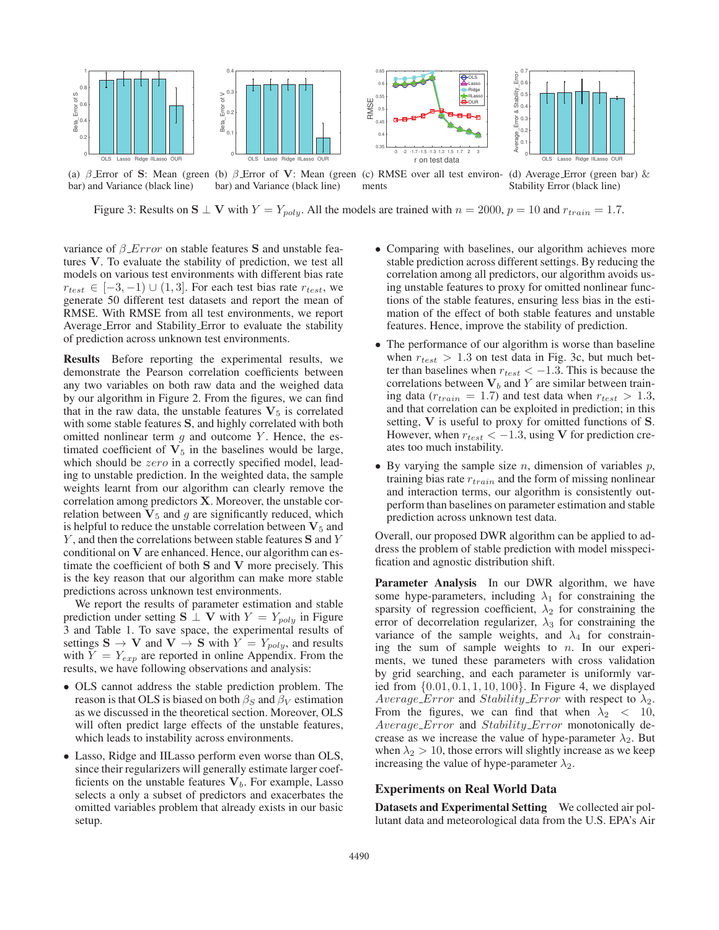

(a) β Error of **S**: Mean (green (b) β Error of **V**: Mean (green (c) RMSE over all test environbar) and Variance (black line) bar) and Variance (black line) ments (d) Average Error (green bar) & Stability Error (black line)

Figure 3: Results on  $S \perp V$  with  $Y = Y_{poly}$ . All the models are trained with  $n = 2000$ ,  $p = 10$  and  $r_{train} = 1.7$ .

variance of β Error on stable features **S** and unstable features **V**. To evaluate the stability of prediction, we test all models on various test environments with different bias rate  $r_{test} \in [-3, -1) \cup (1, 3]$ . For each test bias rate  $r_{test}$ , we generate 50 different test datasets and report the mean of RMSE. With RMSE from all test environments, we report Average Error and Stability Error to evaluate the stability of prediction across unknown test environments.

Results Before reporting the experimental results, we demonstrate the Pearson correlation coefficients between any two variables on both raw data and the weighed data by our algorithm in Figure 2. From the figures, we can find that in the raw data, the unstable features  $V_5$  is correlated with some stable features **S**, and highly correlated with both omitted nonlinear term  $g$  and outcome Y. Hence, the estimated coefficient of  $V<sub>5</sub>$  in the baselines would be large, which should be *zero* in a correctly specified model, leading to unstable prediction. In the weighted data, the sample weights learnt from our algorithm can clearly remove the correlation among predictors **X**. Moreover, the unstable correlation between  $V_5$  and  $g$  are significantly reduced, which is helpful to reduce the unstable correlation between  $V<sub>5</sub>$  and Y , and then the correlations between stable features **S** and Y conditional on **V** are enhanced. Hence, our algorithm can estimate the coefficient of both **S** and **V** more precisely. This is the key reason that our algorithm can make more stable predictions across unknown test environments.

We report the results of parameter estimation and stable prediction under setting **S**  $\perp$  **V** with  $Y = Y_{poly}$  in Figure 3 and Table 1. To save space, the experimental results of settings  $\mathbf{S} \to \mathbf{V}$  and  $\mathbf{V} \to \mathbf{S}$  with  $Y = Y_{poly}$ , and results with  $Y = Y_{new}$  are reported in online Appendix From the with  $Y = Y_{exp}$  are reported in online Appendix. From the results we have following observations and analysis: results, we have following observations and analysis:

- OLS cannot address the stable prediction problem. The reason is that OLS is biased on both  $\beta_S$  and  $\beta_V$  estimation as we discussed in the theoretical section. Moreover, OLS will often predict large effects of the unstable features, which leads to instability across environments.
- Lasso, Ridge and IILasso perform even worse than OLS, since their regularizers will generally estimate larger coefficients on the unstable features  $V_b$ . For example, Lasso selects a only a subset of predictors and exacerbates the omitted variables problem that already exists in our basic setup.
- Comparing with baselines, our algorithm achieves more stable prediction across different settings. By reducing the correlation among all predictors, our algorithm avoids using unstable features to proxy for omitted nonlinear functions of the stable features, ensuring less bias in the estimation of the effect of both stable features and unstable features. Hence, improve the stability of prediction.
- The performance of our algorithm is worse than baseline when  $r_{test} > 1.3$  on test data in Fig. 3c, but much better than baselines when  $r_{test} < -1.3$ . This is because the correlations between  $V_b$  and Y are similar between training data ( $r_{train} = 1.7$ ) and test data when  $r_{test} > 1.3$ , and that correlation can be exploited in prediction; in this setting, **V** is useful to proxy for omitted functions of **S**. However, when  $r_{test} < -1.3$ , using **V** for prediction creates too much instability.
- By varying the sample size  $n$ , dimension of variables  $p$ , training bias rate  $r_{train}$  and the form of missing nonlinear and interaction terms, our algorithm is consistently outperform than baselines on parameter estimation and stable prediction across unknown test data.

Overall, our proposed DWR algorithm can be applied to address the problem of stable prediction with model misspecification and agnostic distribution shift.

Parameter Analysis In our DWR algorithm, we have some hype-parameters, including  $\lambda_1$  for constraining the sparsity of regression coefficient,  $\lambda_2$  for constraining the error of decorrelation regularizer,  $\lambda_3$  for constraining the variance of the sample weights, and  $\lambda_4$  for constraining the sum of sample weights to  $n$ . In our experiments, we tuned these parameters with cross validation by grid searching, and each parameter is uniformly varied from {0.01, 0.1, 1, 10, 100}. In Figure 4, we displayed Average Error and Stability Error with respect to  $\lambda_2$ . From the figures, we can find that when  $\lambda_2$  < 10, Average Error and Stability Error monotonically decrease as we increase the value of hype-parameter  $\lambda_2$ . But when  $\lambda_2 > 10$ , those errors will slightly increase as we keep increasing the value of hype-parameter  $\lambda_2$ .

### Experiments on Real World Data

Datasets and Experimental Setting We collected air pollutant data and meteorological data from the U.S. EPA's Air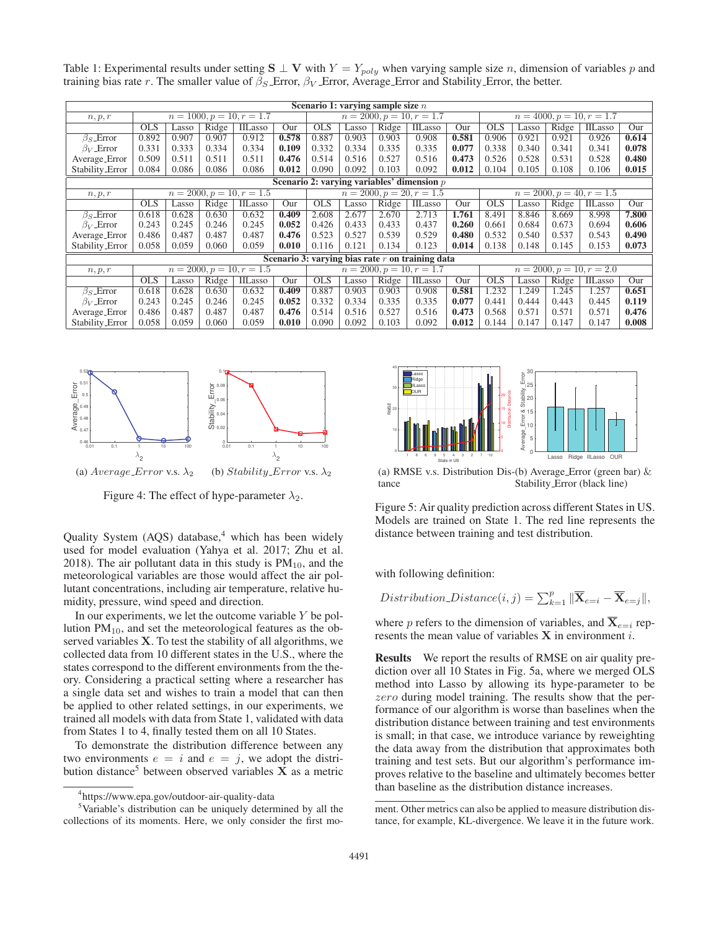Table 1: Experimental results under setting  $S \perp V$  with  $Y = Y_{poly}$  when varying sample size *n*, dimension of variables *p* and training bias rate r. The smaller value of  $\beta_S$  Error,  $\beta_V$  Error, Average Error and Stability Error, the better.

| Scenario 1: varying sample size $n$                |                             |       |       |                             |       |                             |       |       |                                              |       |                             |       |       |                |       |
|----------------------------------------------------|-----------------------------|-------|-------|-----------------------------|-------|-----------------------------|-------|-------|----------------------------------------------|-------|-----------------------------|-------|-------|----------------|-------|
| n, p, r                                            | $n = 1000, p = 10, r = 1.7$ |       |       |                             |       | $n = 2000, p = 10, r = 1.7$ |       |       |                                              |       | $n = 4000, p = 10, r = 1.7$ |       |       |                |       |
|                                                    | <b>OLS</b>                  | Lasso | Ridge | IILasso                     | Our   | <b>OLS</b>                  | Lasso | Ridge | IILasso                                      | Our   | <b>OLS</b>                  | Lasso | Ridge | <b>IILasso</b> | Our   |
| $\beta$ <sub>s</sub> Error                         | 0.892                       | 0.907 | 0.907 | 0.912                       | 0.578 | 0.887                       | 0.903 | 0.903 | 0.908                                        | 0.581 | 0.906                       | 0.921 | 0.921 | 0.926          | 0.614 |
| $\beta_V$ Error                                    | 0.331                       | 0.333 | 0.334 | 0.334                       | 0.109 | 0.332                       | 0.334 | 0.335 | 0.335                                        | 0.077 | 0.338                       | 0.340 | 0.341 | 0.341          | 0.078 |
| Average_Error                                      | 0.509                       | 0.511 | 0.511 | 0.511                       | 0.476 | 0.514                       | 0.516 | 0.527 | 0.516                                        | 0.473 | 0.526                       | 0.528 | 0.531 | 0.528          | 0.480 |
| Stability_Error                                    | 0.084                       | 0.086 | 0.086 | 0.086                       | 0.012 | 0.090                       | 0.092 | 0.103 | 0.092                                        | 0.012 | 0.104                       | 0.105 | 0.108 | 0.106          | 0.015 |
|                                                    |                             |       |       |                             |       |                             |       |       | Scenario 2: varying variables' dimension $p$ |       |                             |       |       |                |       |
| n, p, r                                            |                             |       |       | $n = 2000, p = 10, r = 1.5$ |       | $n = 2000, p = 20, r = 1.5$ |       |       |                                              |       | $n = 2000, p = 40, r = 1.5$ |       |       |                |       |
|                                                    | <b>OLS</b>                  | Lasso | Ridge | IILasso                     | Our   | <b>OLS</b>                  | Lasso | Ridge | IILasso                                      | Our   | <b>OLS</b>                  | Lasso | Ridge | IILasso        | Our   |
| $\beta_S$ Error                                    | 0.618                       | 0.628 | 0.630 | 0.632                       | 0.409 | 2.608                       | 2.677 | 2.670 | 2.713                                        | 1.761 | 8.491                       | 8.846 | 8.669 | 8.998          | 7.800 |
| $\beta_V$ Error                                    | 0.243                       | 0.245 | 0.246 | 0.245                       | 0.052 | 0.426                       | 0.433 | 0.433 | 0.437                                        | 0.260 | 0.661                       | 0.684 | 0.673 | 0.694          | 0.606 |
| Average_Error                                      | 0.486                       | 0.487 | 0.487 | 0.487                       | 0.476 | 0.523                       | 0.527 | 0.539 | 0.529                                        | 0.480 | 0.532                       | 0.540 | 0.537 | 0.543          | 0.490 |
| Stability_Error                                    | 0.058                       | 0.059 | 0.060 | 0.059                       | 0.010 | 0.116                       | 0.121 | 0.134 | 0.123                                        | 0.014 | 0.138                       | 0.148 | 0.145 | 0.153          | 0.073 |
| Scenario 3: varying bias rate $r$ on training data |                             |       |       |                             |       |                             |       |       |                                              |       |                             |       |       |                |       |
| n, p, r                                            | $n = 2000, p = 10, r = 1.5$ |       |       |                             |       | $n = 2000, p = 10, r = 1.7$ |       |       |                                              |       | $n = 2000, p = 10, r = 2.0$ |       |       |                |       |
|                                                    | <b>OLS</b>                  | Lasso | Ridge | <b>IILasso</b>              | Our   | <b>OLS</b>                  | Lasso | Ridge | IILasso                                      | Our   | <b>OLS</b>                  | Lasso | Ridge | IILasso        | Our   |
| $\beta_S$ Error                                    | 0.618                       | 0.628 | 0.630 | 0.632                       | 0.409 | 0.887                       | 0.903 | 0.903 | 0.908                                        | 0.581 | 1.232                       | 1.249 | 1.245 | 1.257          | 0.651 |
| $\beta_V$ Error                                    | 0.243                       | 0.245 | 0.246 | 0.245                       | 0.052 | 0.332                       | 0.334 | 0.335 | 0.335                                        | 0.077 | 0.441                       | 0.444 | 0.443 | 0.445          | 0.119 |
| Average_Error                                      | 0.486                       | 0.487 | 0.487 | 0.487                       | 0.476 | 0.514                       | 0.516 | 0.527 | 0.516                                        | 0.473 | 0.568                       | 0.571 | 0.571 | 0.571          | 0.476 |
| Stability_Error                                    | 0.058                       | 0.059 | 0.060 | 0.059                       | 0.010 | 0.090                       | 0.092 | 0.103 | 0.092                                        | 0.012 | 0.144                       | 0.147 | 0.147 | 0.147          | 0.008 |



Figure 4: The effect of hype-parameter  $\lambda_2$ .

Quality System (AQS) database,<sup>4</sup> which has been widely used for model evaluation (Yahya et al. 2017; Zhu et al. 2018). The air pollutant data in this study is  $PM_{10}$ , and the meteorological variables are those would affect the air pollutant concentrations, including air temperature, relative humidity, pressure, wind speed and direction.

In our experiments, we let the outcome variable  $Y$  be pollution  $PM_{10}$ , and set the meteorological features as the observed variables **X**. To test the stability of all algorithms, we collected data from 10 different states in the U.S., where the states correspond to the different environments from the theory. Considering a practical setting where a researcher has a single data set and wishes to train a model that can then be applied to other related settings, in our experiments, we trained all models with data from State 1, validated with data from States 1 to 4, finally tested them on all 10 States.

To demonstrate the distribution difference between any two environments  $e = i$  and  $e = j$ , we adopt the distribution distance<sup>5</sup> between observed variables  $X$  as a metric



<sup>5</sup>Variable's distribution can be uniquely determined by all the collections of its moments. Here, we only consider the first mo-



(a) RMSE v.s. Distribution Dis-(b) Average Error (green bar) & tance tance Stability Error (black line)

Figure 5: Air quality prediction across different States in US. Models are trained on State 1. The red line represents the distance between training and test distribution.

with following definition:

*Distribution\_Distance(i, j)* = 
$$
\sum_{k=1}^{p} ||\overline{\mathbf{X}}_{e=i} - \overline{\mathbf{X}}_{e=j}||
$$
,

where p refers to the dimension of variables, and  $X_{e=i}$  represents the mean value of variables **X** in environment i.

Results We report the results of RMSE on air quality prediction over all 10 States in Fig. 5a, where we merged OLS method into Lasso by allowing its hype-parameter to be zero during model training. The results show that the performance of our algorithm is worse than baselines when the distribution distance between training and test environments is small; in that case, we introduce variance by reweighting the data away from the distribution that approximates both training and test sets. But our algorithm's performance improves relative to the baseline and ultimately becomes better than baseline as the distribution distance increases.

ment. Other metrics can also be applied to measure distribution distance, for example, KL-divergence. We leave it in the future work.